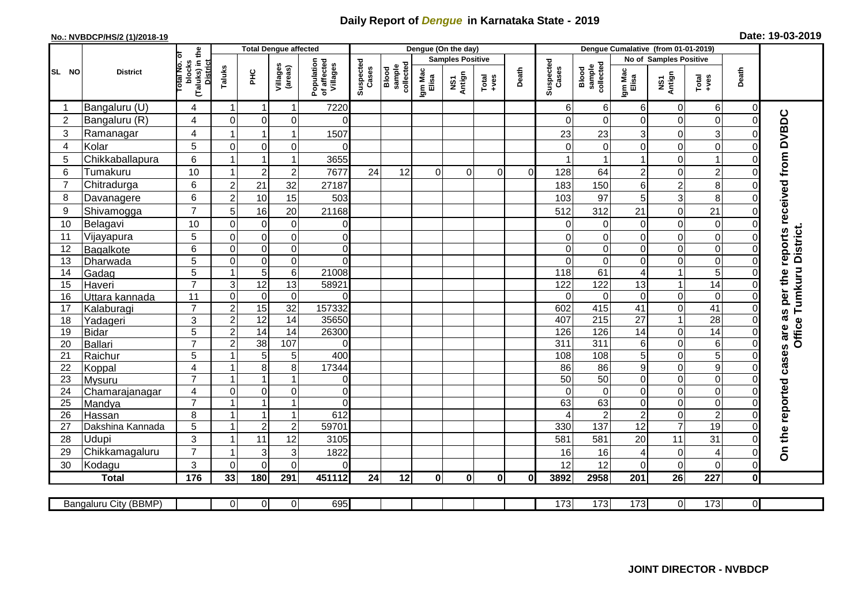## **Daily Report of** *Dengue* **in Karnataka State - 2019**

## **No.: NVBDCP/HS/2 (1)/2018-19 Date: 19-03-2019**

|                |                            |                                                      |                  | <b>Total Dengue affected</b> |                                  |                                       |                    |                              |                  | Dengue (On the day) |                  |                |                    |                              |                                   |                        |                                                              |                               |                                                                  |
|----------------|----------------------------|------------------------------------------------------|------------------|------------------------------|----------------------------------|---------------------------------------|--------------------|------------------------------|------------------|---------------------|------------------|----------------|--------------------|------------------------------|-----------------------------------|------------------------|--------------------------------------------------------------|-------------------------------|------------------------------------------------------------------|
|                |                            |                                                      |                  |                              |                                  |                                       |                    |                              |                  | Samples Positive    |                  |                |                    |                              |                                   | No of Samples Positive |                                                              |                               |                                                                  |
| SL NO          | <b>District</b>            | (Taluks) in the<br>District<br>otal No. ol<br>blocks | Taluks           | нc                           | Villages<br>(areas)              | Population<br>of affected<br>Villages | Suspected<br>Cases | Blood<br>sample<br>collected | Igm Mac<br>Elisa | NS1<br>Antign       | Total<br>$+ve$ s | Death          | Suspected<br>Cases | collected<br>sample<br>Blood | Igm Mac<br>Elisa                  | NS1<br>Antign          | $\begin{array}{c}\n\text{Total} \\ \text{Area}\n\end{array}$ | Death                         |                                                                  |
|                | Bangaluru (U)              | 4                                                    | $\overline{1}$   | -1                           | $\mathbf{1}$                     | 7220                                  |                    |                              |                  |                     |                  |                | 6                  | 6                            | 6                                 | 0                      | $6 \mid$                                                     | 0                             |                                                                  |
| $\overline{2}$ | Bangaluru (R)              | 4                                                    | $\Omega$         | $\mathbf 0$                  | $\mathbf 0$                      | $\Omega$                              |                    |                              |                  |                     |                  |                | O                  | $\Omega$                     | $\Omega$                          | 0                      | $\mathbf 0$                                                  | $\Omega$                      |                                                                  |
| 3              | Ramanagar                  | $\overline{4}$                                       |                  | $\overline{1}$               | $\mathbf{1}$                     | 1507                                  |                    |                              |                  |                     |                  |                | 23                 | 23                           | 3                                 | 0                      | 3                                                            | $\mathcal{C}$                 | On the reported cases are as per the reports received from DVBDC |
| $\overline{4}$ | Kolar                      | 5                                                    | $\mathbf 0$      | $\mathbf 0$                  | $\mathbf 0$                      | $\Omega$                              |                    |                              |                  |                     |                  |                | $\Omega$           | $\mathbf 0$                  | 0                                 | 0                      | $\overline{0}$                                               | $\mathbf 0$                   |                                                                  |
| 5              | Chikkaballapura            | 6                                                    |                  |                              | $\mathbf{1}$                     | 3655                                  |                    |                              |                  |                     |                  |                |                    |                              |                                   | 0                      | $\mathbf{1}$                                                 | 0                             |                                                                  |
| 6              | Tumakuru                   | 10                                                   |                  | $\overline{2}$               | $\mathbf 2$                      | 7677                                  | 24                 | 12                           | $\Omega$         | $\Omega$            | $\mathbf 0$      | $\overline{0}$ | 128                | 64                           | $\overline{c}$                    | 0                      | $\overline{c}$                                               | $\mathbf 0$                   |                                                                  |
| $\overline{7}$ | Chitradurga                | 6                                                    | $\overline{2}$   | 21                           | 32                               | 27187                                 |                    |                              |                  |                     |                  |                | 183                | 150                          | 6                                 | $\overline{c}$         | 8                                                            | $\mathbf 0$                   |                                                                  |
| 8              | Davanagere                 | 6                                                    | $\overline{2}$   | 10                           | 15                               | 503                                   |                    |                              |                  |                     |                  |                | 103                | 97                           | 5                                 | 3                      | 8                                                            | $\mathbf 0$                   |                                                                  |
| 9              | Shivamogga                 | $\overline{7}$                                       | 5                | 16                           | 20                               | 21168                                 |                    |                              |                  |                     |                  |                | 512                | 312                          | 21                                | 0                      | 21                                                           | $\Omega$                      |                                                                  |
| 10             | Belagavi                   | 10                                                   | $\mathbf 0$      | $\mathbf 0$                  | $\pmb{0}$                        | $\overline{0}$                        |                    |                              |                  |                     |                  |                | $\Omega$           | 0                            | $\mathbf 0$                       | 0                      | $\mathbf 0$                                                  | $\mathbf 0$                   |                                                                  |
| 11             | Vijayapura                 | 5                                                    | $\mathbf 0$      | $\mathbf 0$                  | $\mathsf 0$                      | $\overline{0}$                        |                    |                              |                  |                     |                  |                | $\Omega$           | $\Omega$                     | 0                                 | 0                      | o                                                            | $\Omega$                      | District.                                                        |
| 12             | Bagalkote                  | 6                                                    | $\mathbf 0$      | $\pmb{0}$                    | $\overline{0}$                   | $\overline{0}$                        |                    |                              |                  |                     |                  |                | $\Omega$           | $\Omega$                     | 0                                 | 0                      | O                                                            | $\mathbf 0$                   |                                                                  |
| 13             | Dharwada                   | 5                                                    | $\Omega$         | $\mathbf 0$                  | $\overline{0}$                   | $\Omega$                              |                    |                              |                  |                     |                  |                | $\Omega$           | $\Omega$                     | $\Omega$                          | 0                      | 0                                                            | $\Omega$                      |                                                                  |
| 14             | Gadag                      | $\overline{5}$                                       | $\mathbf 1$      | $\overline{5}$               | $\overline{6}$                   | 21008                                 |                    |                              |                  |                     |                  |                | 118                | 61                           | 4                                 | $\mathbf{1}$           | $\overline{5}$                                               | $\Omega$                      |                                                                  |
| 15             | Haveri                     | $\overline{7}$                                       | 3                | $\overline{12}$              | $\overline{13}$                  | 58921                                 |                    |                              |                  |                     |                  |                | 122                | 122                          | 13                                | $\mathbf{1}$           | $\overline{14}$                                              | $\Omega$                      |                                                                  |
| 16             | Uttara kannada             | 11                                                   | $\mathbf 0$      | $\mathbf 0$                  | $\mathbf 0$                      | $\Omega$                              |                    |                              |                  |                     |                  |                | $\Omega$           | $\Omega$                     | $\Omega$                          | 0                      | $\overline{0}$                                               | $\Omega$                      | Tumkuru                                                          |
| 17             | Kalaburagi                 | $\overline{7}$                                       | $\overline{c}$   | 15                           | $\overline{32}$                  | 157332                                |                    |                              |                  |                     |                  |                | 602                | 415                          | 41                                | 0                      | $\overline{41}$                                              | $\mathbf 0$                   |                                                                  |
| 18             | Yadageri                   | 3                                                    | $\overline{c}$   | 12                           | 14                               | 35650                                 |                    |                              |                  |                     |                  |                | 407                | 215                          | 27                                | $\mathbf{1}$           | 28                                                           | $\Omega$                      | Office <sup>-</sup>                                              |
| 19             | <b>Bidar</b>               | 5                                                    | $\boldsymbol{2}$ | 14                           | 14                               | 26300                                 |                    |                              |                  |                     |                  |                | 126                | 126                          | 14                                | 0                      | 14                                                           | $\mathbf 0$                   |                                                                  |
| 20             | Ballari                    | $\overline{7}$                                       | $\overline{2}$   | $\overline{38}$              | 107                              | $\Omega$                              |                    |                              |                  |                     |                  |                | $\overline{311}$   | $\overline{311}$             | 6                                 | 0                      | $\overline{6}$                                               | $\mathbf 0$                   |                                                                  |
| 21             | Raichur                    | 5                                                    |                  | 5                            | 5                                | 400                                   |                    |                              |                  |                     |                  |                | 108                | 108                          | 5                                 | 0                      | $\overline{5}$                                               | $\mathbf 0$                   |                                                                  |
| 22             | Koppal                     | 4                                                    |                  | 8                            | 8                                | 17344                                 |                    |                              |                  |                     |                  |                | 86                 | 86                           | 9                                 | $\mathbf 0$            | 9                                                            | $\Omega$                      |                                                                  |
| 23             | Mysuru                     | $\overline{7}$                                       | -1               | $\overline{1}$               | $\mathbf{1}$                     | $\overline{0}$                        |                    |                              |                  |                     |                  |                | 50                 | 50                           | $\mathbf 0$                       | 0                      | $\overline{0}$                                               | $\mathbf 0$                   |                                                                  |
| 24             | Chamarajanagar             | 4<br>$\overline{7}$                                  | $\mathbf 0$      | $\pmb{0}$<br>$\overline{1}$  | $\overline{0}$<br>$\overline{1}$ | $\overline{0}$                        |                    |                              |                  |                     |                  |                | $\Omega$           | $\mathbf 0$                  | $\mathbf 0$                       | 0                      | $\overline{0}$                                               | $\mathbf 0$                   |                                                                  |
| 25             | Mandya                     |                                                      | $\overline{ }$   | $\overline{1}$               |                                  | $\overline{0}$                        |                    |                              |                  |                     |                  |                | 63                 | 63                           | $\mathsf 0$                       | 0                      | $\overline{0}$                                               | $\mathbf 0$                   |                                                                  |
| 26<br>27       | Hassan<br>Dakshina Kannada | 8<br>5                                               | $\overline{1}$   | $\overline{2}$               | $\mathbf{1}$<br>$\sqrt{2}$       | 612<br>59701                          |                    |                              |                  |                     |                  |                | 330                | 2<br>137                     | $\overline{c}$<br>$\overline{12}$ | 0<br>$\overline{7}$    | $\overline{a}$<br>19                                         | $\mathbf 0$<br>$\overline{0}$ |                                                                  |
| 28             | Udupi                      | 3                                                    | -1               |                              | 12                               |                                       |                    |                              |                  |                     |                  |                |                    |                              |                                   |                        | 31                                                           | $\Omega$                      |                                                                  |
| 29             | Chikkamagaluru             | $\overline{7}$                                       |                  | 11<br>3                      | 3                                | 3105<br>1822                          |                    |                              |                  |                     |                  |                | 581<br>16          | 581<br>16                    | 20<br>4                           | 11<br>$\mathbf 0$      | 4                                                            | $\Omega$                      |                                                                  |
| 30             | Kodagu                     | 3                                                    | $\Omega$         | $\Omega$                     | 0                                | $\Omega$                              |                    |                              |                  |                     |                  |                | 12                 | 12                           | $\Omega$                          | 0                      | $\overline{0}$                                               | $\Omega$                      |                                                                  |
|                | <b>Total</b>               | 176                                                  | 33               | 180                          | 291                              | 451112                                | 24                 | 12                           | $\mathbf{0}$     | $\mathbf{0}$        | $\mathbf{0}$     | $\bf{0}$       | 3892               | 2958                         | 201                               | 26                     | $\overline{227}$                                             | $\mathbf 0$                   |                                                                  |
|                |                            |                                                      |                  |                              |                                  |                                       |                    |                              |                  |                     |                  |                |                    |                              |                                   |                        |                                                              |                               |                                                                  |
|                | Bangaluru City (BBMP)      |                                                      | $\Omega$         | $\overline{0}$               | $\overline{0}$                   | 695                                   |                    |                              |                  |                     |                  |                | 173                | $\overline{173}$             | 173                               | 0                      | 173                                                          | $\overline{0}$                |                                                                  |